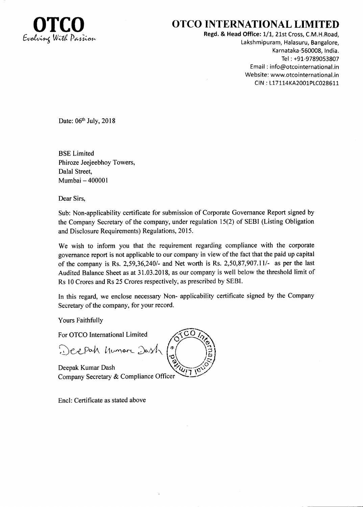

## OTCO INTERNATIONAL LIMITED

Regd. & Head Office: 1/1, 21st Cross, C.M.H.Road, Lakshmipuram, Halasuru, Bangalore, Karnataka-560008, India. Tel : +91-9789053807 Email : info@otcointernational.in Website: www.otcointernational.in CIN: L17114KA2001PLC028611

Date: 06<sup>th</sup> July, 2018

BSE Limited Phiroze Jeejeebhoy Towers, Dalal Street, Mumbai - 400001

Dear Sirs,

Sub: Non-applicability certificate for submission of Corporate Governance Report signed by the Company Secretary of the company, under regulation l5(2) of SEBI (Listing Obligation and Disclosure Requirements) Regulations, 2015.

We wish to inform you that the requirement regarding compliance with the corporate governance report is not applicable to our company in view of the fact that the paid up capital of the company is Rs. 2,59,36,240/- and Net worth is Rs. 2,50,87,907.11/- as per the last Audited Balance Sheet as at 31.03.2018, as our company is well below the threshold limit of Rs l0 Crores and Rs 25 Crores respectively, as prescribed by SEBI.

In this regard, we enclose necessary Non- applicability certificate signed by the Company Secretary of the company, for your record.

Yours Faithfully

For OTCO International Limited

Deepah humare Dash

Deepak Kumar Dash Company Secretary & Compliance Officer

Encl: Certificate as stated above